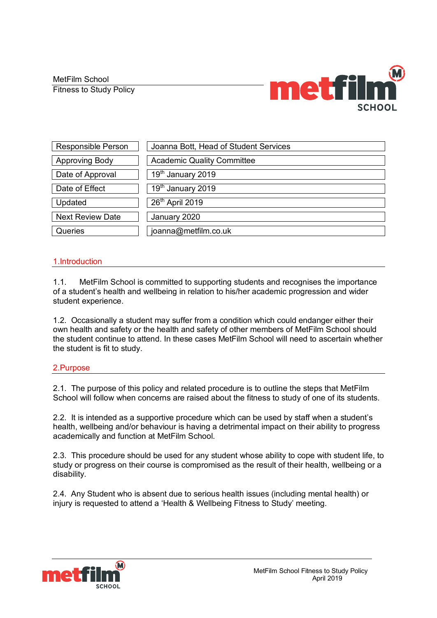MetFilm School

Fitness to Study Policy



| <b>Responsible Person</b> | Joanna Bott, Head of Student Services |
|---------------------------|---------------------------------------|
| Approving Body            | <b>Academic Quality Committee</b>     |
| Date of Approval          | 19 <sup>th</sup> January 2019         |
| Date of Effect            | 19 <sup>th</sup> January 2019         |
| Updated                   | 26th April 2019                       |
| <b>Next Review Date</b>   | January 2020                          |
| Queries                   | joanna@metfilm.co.uk                  |

## 1.Introduction

1.1. MetFilm School is committed to supporting students and recognises the importance of a student's health and wellbeing in relation to his/her academic progression and wider student experience.

1.2. Occasionally a student may suffer from a condition which could endanger either their own health and safety or the health and safety of other members of MetFilm School should the student continue to attend. In these cases MetFilm School will need to ascertain whether the student is fit to study.

## 2.Purpose

2.1. The purpose of this policy and related procedure is to outline the steps that MetFilm School will follow when concerns are raised about the fitness to study of one of its students.

2.2. It is intended as a supportive procedure which can be used by staff when a student's health, wellbeing and/or behaviour is having a detrimental impact on their ability to progress academically and function at MetFilm School.

2.3. This procedure should be used for any student whose ability to cope with student life, to study or progress on their course is compromised as the result of their health, wellbeing or a disability.

2.4. Any Student who is absent due to serious health issues (including mental health) or injury is requested to attend a 'Health & Wellbeing Fitness to Study' meeting.

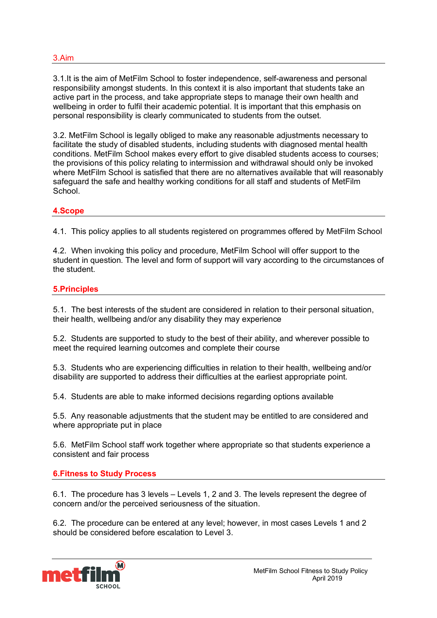3.1.It is the aim of MetFilm School to foster independence, self-awareness and personal responsibility amongst students. In this context it is also important that students take an active part in the process, and take appropriate steps to manage their own health and wellbeing in order to fulfil their academic potential. It is important that this emphasis on personal responsibility is clearly communicated to students from the outset.

3.2. MetFilm School is legally obliged to make any reasonable adjustments necessary to facilitate the study of disabled students, including students with diagnosed mental health conditions. MetFilm School makes every effort to give disabled students access to courses; the provisions of this policy relating to intermission and withdrawal should only be invoked where MetFilm School is satisfied that there are no alternatives available that will reasonably safeguard the safe and healthy working conditions for all staff and students of MetFilm School.

#### **4.Scope**

4.1. This policy applies to all students registered on programmes offered by MetFilm School

4.2. When invoking this policy and procedure, MetFilm School will offer support to the student in question. The level and form of support will vary according to the circumstances of the student.

### **5.Principles**

5.1. The best interests of the student are considered in relation to their personal situation, their health, wellbeing and/or any disability they may experience

5.2. Students are supported to study to the best of their ability, and wherever possible to meet the required learning outcomes and complete their course

5.3. Students who are experiencing difficulties in relation to their health, wellbeing and/or disability are supported to address their difficulties at the earliest appropriate point.

5.4. Students are able to make informed decisions regarding options available

5.5. Any reasonable adjustments that the student may be entitled to are considered and where appropriate put in place

5.6. MetFilm School staff work together where appropriate so that students experience a consistent and fair process

#### **6.Fitness to Study Process**

6.1. The procedure has 3 levels – Levels 1, 2 and 3. The levels represent the degree of concern and/or the perceived seriousness of the situation.

6.2. The procedure can be entered at any level; however, in most cases Levels 1 and 2 should be considered before escalation to Level 3.

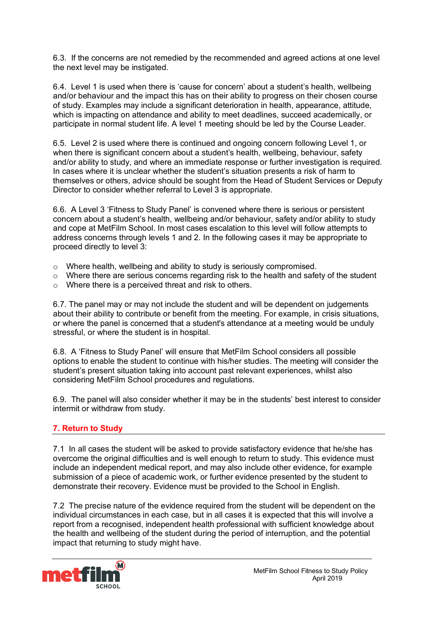6.3. If the concerns are not remedied by the recommended and agreed actions at one level the next level may be instigated.

6.4. Level 1 is used when there is 'cause for concern' about a student's health, wellbeing and/or behaviour and the impact this has on their ability to progress on their chosen course of study. Examples may include a significant deterioration in health, appearance, attitude, which is impacting on attendance and ability to meet deadlines, succeed academically, or participate in normal student life. A level 1 meeting should be led by the Course Leader.

6.5. Level 2 is used where there is continued and ongoing concern following Level 1, or when there is significant concern about a student's health, wellbeing, behaviour, safety and/or ability to study, and where an immediate response or further investigation is required. In cases where it is unclear whether the student's situation presents a risk of harm to themselves or others, advice should be sought from the Head of Student Services or Deputy Director to consider whether referral to Level 3 is appropriate.

6.6. A Level 3 'Fitness to Study Panel' is convened where there is serious or persistent concern about a student's health, wellbeing and/or behaviour, safety and/or ability to study and cope at MetFilm School. In most cases escalation to this level will follow attempts to address concerns through levels 1 and 2. In the following cases it may be appropriate to proceed directly to level 3:

- o Where health, wellbeing and ability to study is seriously compromised.
- $\circ$  Where there are serious concerns regarding risk to the health and safety of the student
- o Where there is a perceived threat and risk to others.

6.7. The panel may or may not include the student and will be dependent on judgements about their ability to contribute or benefit from the meeting. For example, in crisis situations, or where the panel is concerned that a student's attendance at a meeting would be unduly stressful, or where the student is in hospital.

6.8. A 'Fitness to Study Panel' will ensure that MetFilm School considers all possible options to enable the student to continue with his/her studies. The meeting will consider the student's present situation taking into account past relevant experiences, whilst also considering MetFilm School procedures and regulations.

6.9. The panel will also consider whether it may be in the students' best interest to consider intermit or withdraw from study.

## **7. Return to Study**

7.1 In all cases the student will be asked to provide satisfactory evidence that he/she has overcome the original difficulties and is well enough to return to study. This evidence must include an independent medical report, and may also include other evidence, for example submission of a piece of academic work, or further evidence presented by the student to demonstrate their recovery. Evidence must be provided to the School in English.

7.2 The precise nature of the evidence required from the student will be dependent on the individual circumstances in each case, but in all cases it is expected that this will involve a report from a recognised, independent health professional with sufficient knowledge about the health and wellbeing of the student during the period of interruption, and the potential impact that returning to study might have.